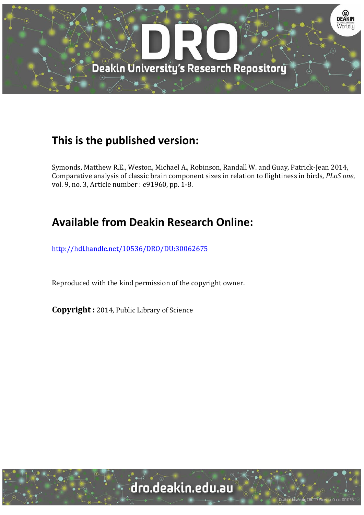

# **This is the published version:**

Symonds, Matthew R.E., Weston, Michael A., Robinson, Randall W. and Guay, Patrick-Jean 2014, Comparative analysis of classic brain component sizes in relation to flightiness in birds*, PLoS one*, vol. 9, no. 3, Article number : e91960, pp. 1-8.

# **Available from Deakin Research Online:**

http://hdl.handle.net/10536/DRO/DU:30062675

Reproduced with the kind permission of the copyright owner.

**Copyright** : 2014, Public Library of Science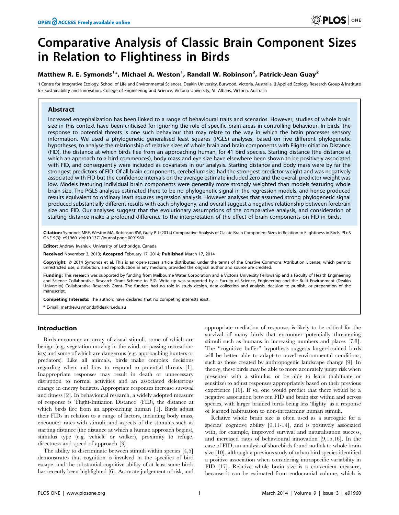# Comparative Analysis of Classic Brain Component Sizes in Relation to Flightiness in Birds

# Matthew R. E. Symonds<sup>1\*</sup>, Michael A. Weston<sup>1</sup>, Randall W. Robinson<sup>2</sup>, Patrick-Jean Guay<sup>2</sup>

1 Centre for Integrative Ecology, School of Life and Environmental Sciences, Deakin University, Burwood, Victoria, Australia, 2 Applied Ecology Research Group & Institute for Sustainability and Innovation, College of Engineering and Science, Victoria University, St. Albans, Victoria, Australia

## Abstract

Increased encephalization has been linked to a range of behavioural traits and scenarios. However, studies of whole brain size in this context have been criticised for ignoring the role of specific brain areas in controlling behaviour. In birds, the response to potential threats is one such behaviour that may relate to the way in which the brain processes sensory information. We used a phylogenetic generalised least squares (PGLS) analyses, based on five different phylogenetic hypotheses, to analyse the relationship of relative sizes of whole brain and brain components with Flight-Initiation Distance (FID), the distance at which birds flee from an approaching human, for 41 bird species. Starting distance (the distance at which an approach to a bird commences), body mass and eye size have elsewhere been shown to be positively associated with FID, and consequently were included as covariates in our analysis. Starting distance and body mass were by far the strongest predictors of FID. Of all brain components, cerebellum size had the strongest predictor weight and was negatively associated with FID but the confidence intervals on the average estimate included zero and the overall predictor weight was low. Models featuring individual brain components were generally more strongly weighted than models featuring whole brain size. The PGLS analyses estimated there to be no phylogenetic signal in the regression models, and hence produced results equivalent to ordinary least squares regression analysis. However analyses that assumed strong phylogenetic signal produced substantially different results with each phylogeny, and overall suggest a negative relationship between forebrain size and FID. Our analyses suggest that the evolutionary assumptions of the comparative analysis, and consideration of starting distance make a profound difference to the interpretation of the effect of brain components on FID in birds.

Citation: Symonds MRE, Weston MA, Robinson RW, Guay P-J (2014) Comparative Analysis of Classic Brain Component Sizes in Relation to Flightiness in Birds. PLoS ONE 9(3): e91960. doi:10.1371/journal.pone.0091960

Editor: Andrew Iwaniuk, University of Lethbridge, Canada

Received November 3, 2013; Accepted February 17, 2014; Published March 17, 2014

Copyright: © 2014 Symonds et al. This is an open-access article distributed under the terms of the [Creative Commons Attribution License,](http://creativecommons.org/licenses/by/4.0/) which permits restricted use, distribution, and reproduction in any medium, provided the original author and source are credited.

Funding: This research was supported by funding from Melbourne Water Corporation and a Victoria University Fellowship and a Faculty of Health Engineering and Science Collaborative Research Grant Scheme to PJG. Write up was supported by a Faculty of Science, Engineering and the Built Environment (Deakin University) Collaborative Research Grant. The funders had no role in study design, data collection and analysis, decision to publish, or preparation of the manuscript.

Competing Interests: The authors have declared that no competing interests exist.

\* E-mail: matthew.symonds@deakin.edu.au

#### Introduction

Birds encounter an array of visual stimuli, some of which are benign (e.g. vegetation moving in the wind, or passing recreationists) and some of which are dangerous (e.g. approaching hunters or predators). Like all animals, birds make complex decisions regarding when and how to respond to potential threats [1]. Inappropriate responses may result in death or unnecessary disruption to normal activities and an associated deleterious change in energy budgets. Appropriate responses increase survival and fitness [2]. In behavioural research, a widely adopted measure of response is 'Flight-Initiation Distance' (FID), the distance at which birds flee from an approaching human [1]. Birds adjust their FIDs in relation to a range of factors, including body mass, encounter rates with stimuli, and aspects of the stimulus such as starting distance (the distance at which a human approach begins), stimulus type (e.g. vehicle or walker), proximity to refuge, directness and speed of approach [3].

The ability to discriminate between stimuli within species [4,5] demonstrates that cognition is involved in the specifics of bird escape, and the substantial cognitive ability of at least some birds has recently been highlighted [6]. Accurate judgement of risk, and appropriate mediation of response, is likely to be critical for the survival of many birds that encounter potentially threatening stimuli such as humans in increasing numbers and places [7,8]. The ''cognitive buffer'' hypothesis suggests larger-brained birds will be better able to adapt to novel environmental conditions, such as those created by anthropogenic landscape change [9]. In theory, these birds may be able to more accurately judge risk when presented with a stimulus, or be able to learn (habituate or sensitize) to adjust responses appropriately based on their previous experience [10]. If so, one would predict that there would be a negative association between FID and brain size within and across species, with larger brained birds being less 'flighty' as a response of learned habituation to non-threatening human stimuli.

Relative whole brain size is often used as a surrogate for a species' cognitive ability [9,11-14], and is positively associated with, for example, improved survival and naturalisation success, and increased rates of behavioural innovation [9,15,16]. In the case of FID, an analysis of shorebirds found no link to whole brain size [10], although a previous study of urban bird species identified a positive association when considering intraspecific variability in FID [17]. Relative whole brain size is a convenient measure, because it can be estimated from endocranial volume, which is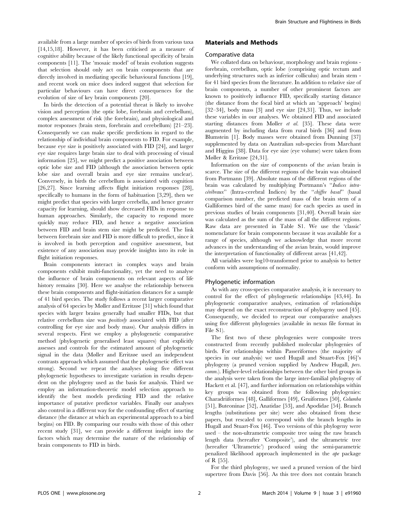available from a large number of species of birds from various taxa [14,15,18]. However, it has been criticised as a measure of cognitive ability because of the likely functional specificity of brain components [11]. The 'mosaic model' of brain evolution suggests that selection should only act on brain components that are directly involved in mediating specific behavioural functions [19], and recent work on mice does indeed suggest that selection for particular behaviours can have direct consequences for the evolution of size of key brain components [20].

In birds the detection of a potential threat is likely to involve vision and perception (the optic lobe, forebrain and cerebellum), complex assessment of risk (the forebrain), and physiological and motor responses (brain stem, forebrain and cerebellum) [21–23]. Consequently we can make specific predictions in regard to the relationship of individual brain components to FID. For example, because eye size is positively associated with FID [24], and larger eye size requires large brain size to deal with processing of visual information [25], we might predict a positive association between optic lobe size and FID (although the association between optic lobe size and overall brain and eye size remains unclear). Conversely, in birds the cerebellum is associated with cognition [26,27]. Since learning affects flight initiation responses [28], specifically to humans in the form of habituation [3,29], then we might predict that species with larger cerebella, and hence greater capacity for learning, should show decreased FIDs in response to human approaches. Similarly, the capacity to respond more quickly may reduce FID, and hence a negative association between FID and brain stem size might be predicted. The link between forebrain size and FID is more difficult to predict, since it is involved in both perception and cognitive assessment, but existence of any association may provide insights into its role in flight initiation responses.

Brain components interact in complex ways and brain components exhibit multi-functionality, yet the need to analyse the influence of brain components on relevant aspects of life history remains [30]. Here we analyse the relationship between these brain components and flight-initiation distances for a sample of 41 bird species. The study follows a recent larger comparative analysis of 64 species by Møller and Erritzøe [31] which found that species with larger brains generally had smaller FIDs, but that relative cerebellum size was positively associated with FID (after controlling for eye size and body mass). Our analysis differs in several respects. First we employ a phylogenetic comparative method (phylogenetic generalised least squares) that explicitly assesses and controls for the estimated amount of phylogenetic signal in the data (Møller and Erritzøe used an independent contrasts approach which assumed that the phylogenetic effect was strong). Second we repeat the analyses using five different phylogenetic hypotheses to investigate variation in results dependent on the phylogeny used as the basis for analysis. Third we employ an information-theoretic model selection approach to identify the best models predicting FID and the relative importance of putative predictor variables. Finally our analyses also control in a different way for the confounding effect of starting distance (the distance at which an experimental approach to a bird begins) on FID. By comparing our results with those of this other recent study [31], we can provide a different insight into the factors which may determine the nature of the relationship of brain components to FID in birds.

#### Materials and Methods

#### Comparative data

We collated data on behaviour, morphology and brain regions forebrain, cerebellum, optic lobe (comprising optic tectum and underlying structures such as inferior colliculus) and brain stem for 41 bird species from the literature. In addition to relative size of brain components, a number of other prominent factors are known to positively influence FID, specifically starting distance (the distance from the focal bird at which an 'approach' begins) [32–34], body mass [3] and eye size [24,31]. Thus, we include these variables in our analyses. We obtained FID and associated starting distances from Møller et al. [35]. These data were augmented by including data from rural birds [36] and from Blumstein [1]. Body masses were obtained from Dunning [37] supplemented by data on Australian sub-species from Marchant and Higgins [38]. Data for eye size (eye volume) were taken from Møller & Erritzøe [24,31].

Information on the size of components of the avian brain is scarce. The size of the different regions of the brain was obtained from Portmann [39]. Absolute mass of the different regions of the brain was calculated by multiplying Portmann's "Indices intracérébraux" (Intra-cerebral Indices) by the "chiffre basal" (basal comparison number, the predicted mass of the brain stem of a Galliformes bird of the same mass) for each species as used in previous studies of brain components [31,40]. Overall brain size was calculated as the sum of the mass of all the different regions. Raw data are presented in Table S1. We use the 'classic' nomenclature for brain components because it was available for a range of species, although we acknowledge that more recent advances in the understanding of the avian brain, would improve the interpretation of functionality of different areas [41,42].

All variables were log10-transformed prior to analysis to better conform with assumptions of normality.

### Phylogenetic information

As with any cross-species comparative analysis, it is necessary to control for the effect of phylogenetic relationships [43,44]. In phylogenetic comparative analyses, estimation of relationships may depend on the exact reconstruction of phylogeny used [45]. Consequently, we decided to repeat our comparative analyses using five different phylogenies (available in nexus file format in File S1).

The first two of these phylogenies were composite trees constructed from recently published molecular phylogenies of birds. For relationships within Passeriformes (the majority of species in our analysis) we used Hugall and Stuart-Fox [46]'s phylogeny (a pruned version supplied by Andrew Hugall, pers. comm.). Higher-level relationships between the other bird groups in the analysis were taken from the large inter-familial phylogeny of Hackett et al. [47], and further information on relationships within key groups was obtained from the following phylogenies: Charadriiformes [48], Galliformes [49], Gruiformes [50], Columba [51], Buteoninae [52], Anatidae [53], and Apodidae [54]. Branch lengths (substitutions per site) were also obtained from these papers, but rescaled to correspond with the branch lengths in Hugall and Stuart-Fox [46]. Two versions of this phylogeny were used – the non-ultrametric composite tree using the raw branch length data (hereafter 'Composite'), and the ultrametric tree (hereafter 'Ultrametric') produced using the semi-parametric penalized likelihood approach implemented in the ape package of R [55].

For the third phylogeny, we used a pruned version of the bird supertree from Davis [56]. As this tree does not contain branch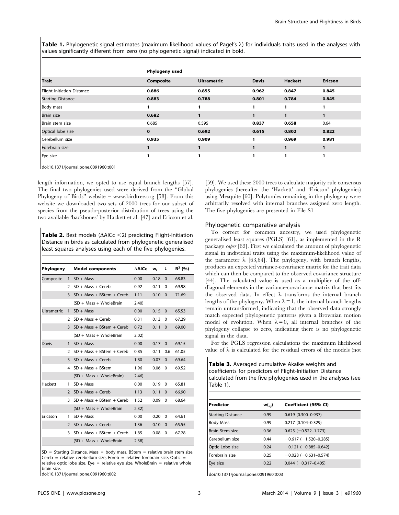Table 1. Phylogenetic signal estimates (maximum likelihood values of Pagel's  $\lambda$ ) for individuals traits used in the analyses with values significantly different from zero (no phylogenetic signal) indicated in bold.

|                                   | Phylogeny used |                    |              |                |         |  |
|-----------------------------------|----------------|--------------------|--------------|----------------|---------|--|
| <b>Trait</b>                      | Composite      | <b>Ultrametric</b> | <b>Davis</b> | <b>Hackett</b> | Ericson |  |
| <b>Flight Initiation Distance</b> | 0.886          | 0.855              | 0.962        | 0.847          | 0.845   |  |
| <b>Starting Distance</b>          | 0.883          | 0.788              | 0.801        | 0.784          | 0.845   |  |
| Body mass                         |                |                    |              |                |         |  |
| Brain size                        | 0.682          | 1                  |              | 1              | 1       |  |
| Brain stem size                   | 0.685          | 0.595              | 0.837        | 0.658          | 0.64    |  |
| Optical lobe size                 | $\bf{0}$       | 0.692              | 0.615        | 0.802          | 0.822   |  |
| Cerebellum size                   | 0.935          | 0.909              |              | 0.969          | 0.981   |  |
| Forebrain size                    |                |                    |              | $\mathbf{1}$   |         |  |
| Eye size                          |                |                    | 1            |                |         |  |

doi:10.1371/journal.pone.0091960.t001

length information, we opted to use equal branch lengths [57]. The final two phylogenies used were derived from the ''Global Phylogeny of Birds'' website –<www.birdtree.org> [58]. From this website we downloaded two sets of 2000 trees for our subset of species from the pseudo-posterior distribution of trees using the two available 'backbones' by Hackett et al. [47] and Ericson et al.

**Table 2.** Best models ( $\triangle$ AICc <2) predicting Flight-Initiation Distance in birds as calculated from phylogenetic generalised least squares analyses using each of the five phylogenies.

| Phylogeny          |               | <b>Model components</b>     | <b>AAICc</b> | w,   | λ        | $R^2$ (%) |
|--------------------|---------------|-----------------------------|--------------|------|----------|-----------|
| Composite          | $\mathbf{1}$  | $SD + Mass$                 | 0.00         | 0.18 | $\Omega$ | 68.83     |
|                    | 2             | $SD + Mass + Cereb$         | 0.92         | 0.11 | 0        | 69.98     |
|                    | $\mathbf{R}$  | $SD + Mass + BStem + Cereb$ | 1.11         | 0.10 | $\Omega$ | 71.69     |
|                    |               | $(SD + Mass + WholeBrain)$  | (2.40)       |      |          |           |
| <b>Ultrametric</b> | $\mathbf{1}$  | $SD + Mass$                 | 0.00         | 0.15 | $\Omega$ | 65.53     |
|                    | $\mathcal{P}$ | $SD + Mass + Cereb$         | 0.31         | 0.13 | 0        | 67.29     |
|                    | 3             | $SD + Mass + BStem + Cereb$ | 0.72         | 0.11 | $\Omega$ | 69.00     |
|                    |               | $(SD + Mass + WholeBrain)$  | 2.02)        |      |          |           |
| Davis              | $\mathbf{1}$  | $SD + Mass$                 | 0.00         | 0.17 | $\Omega$ | 69.15     |
|                    | $\mathcal{P}$ | $SD + Mass + BStem + Cereb$ | 0.85         | 0.11 | 0.6      | 61.05     |
|                    | 3             | $SD + Mass + Cereb$         | 1.80         | 0.07 | $\Omega$ | 69.64     |
|                    | 4             | $SD + Mass + BStem$         | 1.96         | 0.06 | 0        | 69.52     |
|                    |               | $(SD + Mass + WholeBrain)$  | 2.46)        |      |          |           |
| Hackett            | 1             | $SD + Mass$                 | 0.00         | 0.19 | 0        | 65.81     |
|                    | $\mathcal{P}$ | $SD + Mass + Cereb$         | 1.13         | 0.11 | $\Omega$ | 66.90     |
|                    | 3             | $SD + Mass + BStem + Cereb$ | 1.52         | 0.09 | 0        | 68.64     |
|                    |               | $(SD + Mass + WholeBrain)$  | 2.32)        |      |          |           |
| Ericsson           | 1.            | $SD + Mass$                 | 0.00         | 0.20 | $\Omega$ | 64.61     |
|                    | $\mathcal{P}$ | $SD + Mass + Cereb$         | 1.36         | 0.10 | $\Omega$ | 65.55     |
|                    | 3             | $SD + Mass + BStem + Cereb$ | 1.85         | 0.08 | 0        | 67.28     |
|                    |               | $(SD + Mass + WholeBrain$   | 2.38)        |      |          |           |
|                    |               |                             |              |      |          |           |

 $SD =$  Starting Distance, Mass = body mass, BStem = relative brain stem size, Cereb = relative cerebellum size, Foreb = relative forebrain size, Optic = relative optic lobe size, Eye = relative eye size, WholeBrain = relative whole brain size.

doi:10.1371/journal.pone.0091960.t002

[59]. We used these 2000 trees to calculate majority rule consensus phylogenies (hereafter the 'Hackett' and 'Ericson' phylogenies) using Mesquite [60]. Polytomies remaining in the phylogeny were arbitrarily resolved with internal branches assigned zero length. The five phylogenies are presented in File S1

#### Phylogenetic comparative analysis

To correct for common ancestry, we used phylogenetic generalised least squares (PGLS) [61], as implemented in the R package caper [62]. First we calculated the amount of phylogenetic signal in individual traits using the maximum-likelihood value of the parameter  $\lambda$  [63,64]. The phylogeny, with branch lengths, produces an expected variance-covariance matrix for the trait data which can then be compared to the observed covariance structure [44]. The calculated value is used as a multiplier of the offdiagonal elements in the variance-covariance matrix that best fits the observed data. In effect  $\lambda$  transforms the internal branch lengths of the phylogeny, When  $\lambda = 1$ , the internal branch lengths remain untransformed, indicating that the observed data strongly match expected phylogenetic patterns given a Brownian motion model of evolution. When  $\lambda = 0$ , all internal branches of the phylogeny collapse to zero, indicating there is no phylogenetic signal in the data.

For the PGLS regression calculations the maximum likelihood value of  $\lambda$  is calculated for the residual errors of the models (not

Table 3. Averaged cumulative Akaike weights and coefficients for predictors of Flight-Initiation Distance calculated from the five phylogenies used in the analyses (see Table 1).

| Predictor                | $w($ <sub>+i</sub> $)$ | Coefficient (95% CI)          |
|--------------------------|------------------------|-------------------------------|
| <b>Starting Distance</b> | 0.99                   | $0.619(0.300 - 0.937)$        |
| <b>Body Mass</b>         | 0.99                   | $0.217(0.104 - 0.329)$        |
| Brain Stem size          | 0.36                   | $0.625 (-0.522 - 1.773)$      |
| Cerebellum size          | 0.44                   | $-0.617(-1.520-0.285)$        |
| Optic Lobe size          | 0.24                   | $-0.121 (-0.885 - 0.642)$     |
| Forebrain size           | 0.25                   | $-0.028$ ( $-0.631 - 0.574$ ) |
| Eye size                 | 0.22                   | $0.044 (-0.317 - 0.405)$      |

doi:10.1371/journal.pone.0091960.t003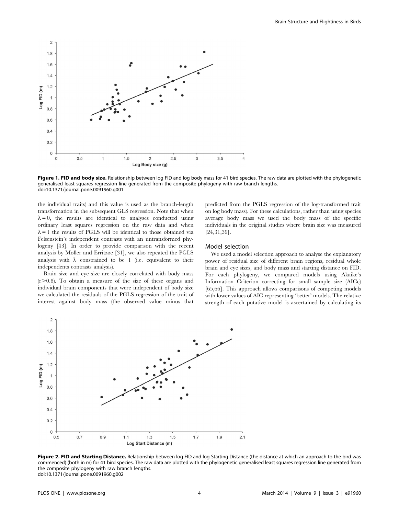

Figure 1. FID and body size. Relationship between log FID and log body mass for 41 bird species. The raw data are plotted with the phylogenetic generalised least squares regression line generated from the composite phylogeny with raw branch lengths. doi:10.1371/journal.pone.0091960.g001

the individual traits) and this value is used as the branch-length transformation in the subsequent GLS regression. Note that when  $\lambda = 0$ , the results are identical to analyses conducted using ordinary least squares regression on the raw data and when  $\lambda = 1$  the results of PGLS will be identical to those obtained via Felsenstein's independent contrasts with an untransformed phylogeny [43]. In order to provide comparison with the recent analysis by Møller and Erritzøe [31], we also repeated the PGLS analysis with  $\lambda$  constrained to be 1 (i.e. equivalent to their independents contrasts analysis).

Brain size and eye size are closely correlated with body mass  $(r>0.8)$ . To obtain a measure of the size of these organs and individual brain components that were independent of body size we calculated the residuals of the PGLS regression of the trait of interest against body mass (the observed value minus that

predicted from the PGLS regression of the log-transformed trait on log body mass). For these calculations, rather than using species average body mass we used the body mass of the specific individuals in the original studies where brain size was measured [24,31,39].

#### Model selection

We used a model selection approach to analyse the explanatory power of residual size of different brain regions, residual whole brain and eye sizes, and body mass and starting distance on FID. For each phylogeny, we compared models using Akaike's Information Criterion correcting for small sample size (AICc) [65,66]. This approach allows comparisons of competing models with lower values of AIC representing 'better' models. The relative strength of each putative model is ascertained by calculating its



Figure 2. FID and Starting Distance. Relationship between log FID and log Starting Distance (the distance at which an approach to the bird was commenced) (both in m) for 41 bird species. The raw data are plotted with the phylogenetic generalised least squares regression line generated from the composite phylogeny with raw branch lengths. doi:10.1371/journal.pone.0091960.g002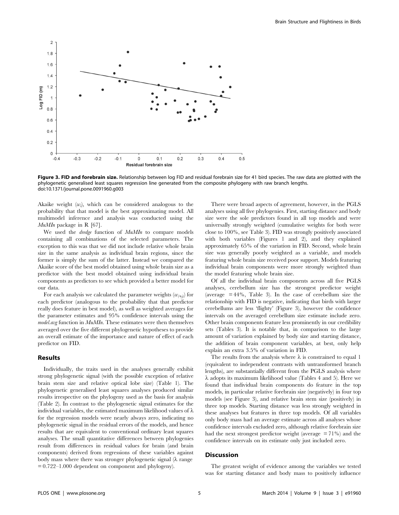

Figure 3. FID and forebrain size. Relationship between log FID and residual forebrain size for 41 bird species. The raw data are plotted with the phylogenetic generalised least squares regression line generated from the composite phylogeny with raw branch lengths. doi:10.1371/journal.pone.0091960.g003

Akaike weight  $(w_i)$ , which can be considered analogous to the probability that that model is the best approximating model. All multimodel inference and analysis was conducted using the  $MuMIn$  package in R [67].

We used the *dredge* function of  $MuMIn$  to compare models containing all combinations of the selected parameters. The exception to this was that we did not include relative whole brain size in the same analysis as individual brain regions, since the former is simply the sum of the latter. Instead we compared the Akaike score of the best model obtained using whole brain size as a predictor with the best model obtained using individual brain components as predictors to see which provided a better model for our data.

For each analysis we calculated the parameter weights  $(w_{(+i)})$  for each predictor (analogous to the probability that that predictor really does feature in best model), as well as weighted averages for the parameter estimates and 95% confidence intervals using the model.avg function in MuMIn. These estimates were then themselves averaged over the five different phylogenetic hypotheses to provide an overall estimate of the importance and nature of effect of each predictor on FID.

### Results

Individually, the traits used in the analyses generally exhibit strong phylogenetic signal (with the possible exception of relative brain stem size and relative optical lobe size) (Table 1). The phylogenetic generalised least squares analyses produced similar results irrespective on the phylogeny used as the basis for analysis (Table 2). In contrast to the phylogenetic signal estimates for the individual variables, the estimated maximum likelihood values of  $\lambda$ for the regression models were nearly always zero, indicating no phylogenetic signal in the residual errors of the models, and hence results that are equivalent to conventional ordinary least squares analyses. The small quantitative differences between phylogenies result from differences in residual values for brain (and brain components) derived from regressions of these variables against body mass where there was stronger phylogenetic signal  $(\lambda)$  range  $= 0.722 - 1.000$  dependent on component and phylogeny).

There were broad aspects of agreement, however, in the PGLS analyses using all five phylogenies. First, starting distance and body size were the sole predictors found in all top models and were universally strongly weighted (cumulative weights for both were close to 100%, see Table 3). FID was strongly positively associated with both variables (Figures 1 and 2), and they explained approximately 65% of the variation in FID. Second, whole brain size was generally poorly weighted as a variable, and models featuring whole brain size received poor support. Models featuring individual brain components were more strongly weighted than the model featuring whole brain size.

Of all the individual brain components across all five PGLS analyses, cerebellum size has the strongest predictor weight (average  $= 44\%$ , Table 3). In the case of cerebellum size the relationship with FID is negative, indicating that birds with larger cerebellums are less 'flighty' (Figure 3), however the confidence intervals on the averaged cerebellum size estimate include zero. Other brain components feature less prominently in our credibility sets (Tables 3). It is notable that, in comparison to the large amount of variation explained by body size and starting distance, the addition of brain component variables, at best, only help explain an extra 3.5% of variation in FID.

The results from the analysis where  $\lambda$  is constrained to equal 1 (equivalent to independent contrasts with untransformed branch lengths), are substantially different from the PGLS analysis where  $\lambda$  adopts its maximum likelihood value (Tables 4 and 5). Here we found that individual brain components do feature in the top models, in particular relative forebrain size (negatively) in four top models (see Figure 3), and relative brain stem size (positively) in three top models. Starting distance was less strongly weighted in these analyses but features in three top models. Of all variables only body mass had an average estimate across all analyses whose confidence intervals excluded zero, although relative forebrain size had the next strongest predictor weight (average = 71%) and the confidence intervals on its estimate only just included zero.

#### Discussion

The greatest weight of evidence among the variables we tested was for starting distance and body mass to positively influence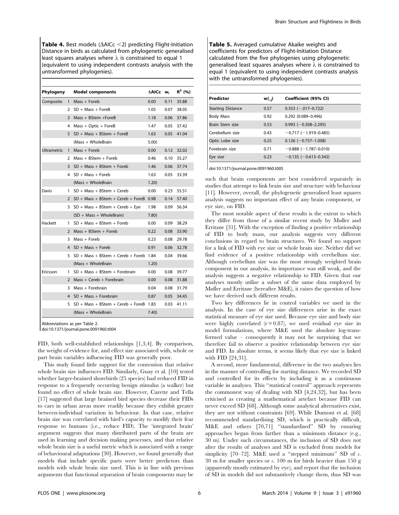**Table 4.** Best models ( $\triangle$ AICc <2) predicting Flight-Initiation Distance in birds as calculated from phylogenetic generalised least squares analyses where  $\lambda$  is constrained to equal 1 (equivalent to using independent contrasts analysis with the untransformed phylogenies).

| Phylogeny          |                | <b>Model components</b>                  | ΔAICc w <sub>i</sub> |      | $R^2$ (%)  |
|--------------------|----------------|------------------------------------------|----------------------|------|------------|
| Composite          | $\mathbf{1}$   | $Mass + Foreb$                           | 0.00                 | 0.11 | 35.88      |
|                    | $\mathcal{P}$  | $SD + Mass + ForceB$                     | 1.05                 | 0.07 | 38.05      |
|                    | 3              | $Mass + BStem + ForceB$                  | 1.18                 |      | 0.06 37.86 |
|                    | 4              | $Mass + Optic + ForceB$                  | 1.47                 |      | 0.05 37.42 |
|                    | 5              | $SD + Mass + BStem + ForceB$             | 1.63                 | 0.05 | 41.04      |
|                    |                | (Mass + WholeBrain                       | 5.00)                |      |            |
| <b>Ultrametric</b> | $\mathbf{1}$   | $Mass + Foreb$                           | 0.00                 |      | 0.12 32.02 |
|                    | 2              | $Mass + BStem + Foreb$                   | 0.46                 | 0.10 | 35.27      |
|                    | 3              | $SD + Mass + BStem + Foreb$              | 1.46                 |      | 0.06 37.74 |
|                    | 4              | $SD + Mass + Foreb$                      | 1.63                 | 0.05 | 33.39      |
|                    |                | $(Mass + WholeBrain)$                    | 1.20)                |      |            |
| Davis              | 1              | $SD + Mass + BStem + Cereb$              | 0.00                 |      | 0.23 55.51 |
|                    | 2              | $SD + Mass + BStem + Cereb + ForceB$     | 0.98                 | 0.14 | 57.40      |
|                    | 3              | $SD + Mass + BStem + Cereb + Eye$        | 1.98                 | 0.09 | 56.34      |
|                    |                | $(SD + Mass + WholeBrain)$               | 7.80)                |      |            |
| Hackett            | 1              | $SD + Mass + BStem + Foreb$              | 0.00                 | 0.09 | 38.29      |
|                    | $\mathcal{P}$  | $Mass + BStem + Foreb$                   | 0.22                 |      | 0.08 33.90 |
|                    | 3              | $Mass + Foreb$                           | 0.23                 | 0.08 | 29.78      |
|                    |                | $4$ SD + Mass + Foreb                    | 0.91                 |      | 0.06 32.78 |
|                    | 5              | $SD + Mass + BStem + Cereb + Foreb$ 1.84 |                      | 0.04 | 39.66      |
|                    |                | (Mass + WholeBrain                       | 1.20)                |      |            |
| Ericsson           | 1              | $SD + Mass + BStem + Forebrain$          | 0.00                 | 0.08 | 39.77      |
|                    | $\overline{2}$ | $Mass + Cereb + Forebrain$               | 0.00                 | 0.08 | 31.88      |
|                    | 3              | Mass + Forebrain                         | 0.04                 | 0.08 | 31.79      |
|                    | 4              | $SD + Mass + Forebrain$                  | 0.87                 |      | 0.05 34.45 |
|                    | 5              | $SD + Mass + BStem + Cereb + ForceB$     | 1.83                 | 0.03 | 41.11      |
|                    |                | $(Mass + WholeBrain)$                    | 7.40)                |      |            |

Abbreviations as per Table 2.

doi:10.1371/journal.pone.0091960.t004

FID, both well-established relationships [1,3,4]. By comparison, the weight of evidence for, and effect size associated with, whole or part brain variables influencing FID was generally poor.

This study found little support for the contention that relative whole brain size influences FID. Similarly, Guay et al. [10] tested whether larger-brained shorebirds (25 species) had reduced FID in response to a frequently occurring benign stimulus (a walker) but found no effect of whole brain size. However, Carette and Tella [17] suggested that large brained bird species decrease their FIDs to cars in urban areas more readily because they exhibit greater between-individual variation in behaviour. In that case, relative brain size was correlated with bird's capacity to modify their fear response to humans (i.e., reduce FID). The 'integrated brain' argument suggests that many distributed parts of the brain are used in learning and decision making processes, and that relative whole brain size is a useful metric which is associated with a range of behavioural adaptations [30]. However, we found generally that models that include specific parts were better predictors than models with whole brain size used. This is in line with previous arguments that functional separation of brain components may be Table 5. Averaged cumulative Akaike weights and coefficients for predictors of Flight-Initiation Distance calculated from the five phylogenies using phylogenetic generalised least squares analyses where  $\lambda$  is constrained to equal 1 (equivalent to using independent contrasts analysis with the untransformed phylogenies).

| Predictor                | $w($ <sub>+i</sub> $)$ | Coefficient (95% CI)      |  |
|--------------------------|------------------------|---------------------------|--|
| <b>Starting Distance</b> | 0.57                   | $0.353$ (-.017-0.722)     |  |
| <b>Body Mass</b>         | 0.92                   | $0.292$ (0.089-0.496)     |  |
| Brain Stem size          | 0.53                   | $0.993$ (-0.308-2.295)    |  |
| Cerebellum size          | 0.43                   | $-0.717 (-1.919 - 0.485)$ |  |
| Optic Lobe size          | 0.25                   | $0.126 (-0.757 - 1.008)$  |  |
| Forebrain size           | 0.71                   | $-0.888(-1.787-0.010)$    |  |
| Eve size                 | 0.23                   | $-0.135 (-0.613 - 0.342)$ |  |

doi:10.1371/journal.pone.0091960.t005

such that brain components are best considered separately in studies that attempt to link brain size and structure with behaviour [11]. However, overall, the phylogenetic generalised least squares analysis suggests no important effect of any brain component, or eye size, on FID.

The most notable aspect of these results is the extent to which they differ from those of a similar recent study by Møller and Erritzøe [31]. With the exception of finding a positive relationship of FID to body mass, our analysis suggests very different conclusions in regard to brain structures. We found no support for a link of FID with eye size or whole brain size. Neither did we find evidence of a positive relationship with cerebellum size. Although cerebellum size was the most strongly weighted brain component in our analysis, its importance was still weak, and the analysis suggests a negative relationship to FID. Given that our analyses mostly utilise a subset of the same data employed by Møller and Erritzøe (hereafter M&E), it raises the question of how we have derived such different results.

Two key differences lie in control variables we used in the analysis. In the case of eye size differences arise in the exact statistical measure of eye size used. Because eye size and body size were highly correlated  $(r = 0.87)$ , we used residual eye size in model formulations, where M&E used the absolute log-transformed value – consequently it may not be surprising that we therefore fail to observe a positive relationship between eye size and FID. In absolute terms, it seems likely that eye size is linked with FID [24,31].

A second, more fundamental, difference in the two analyses lies in the manner of controlling for starting distance. We recorded SD and controlled for its effects by including it as a continuous variable in analyses. This ''statistical control'' approach represents the commonest way of dealing with SD [4,24,32], but has been criticised as creating a mathematical artefact because FID can never exceed SD [68]. Although some analytical alternatives exist, they are not without constraints [69]. While Dumont et al. [68] recommended standardising SD, which is practically difficult, M&E and others [70,71] ''standardised'' SD by ensuring approaches began from farther than a minimum distance (e.g., 30 m). Under such circumstances, the inclusion of SD does not alter the results of analyses and SD is excluded from models for simplicity [70–72]. M&E used a "stepped minimum" SD of  $\epsilon$ . 30 m for smaller species or  $\epsilon$ . 100 m for birds heavier than 150 g (apparently mostly estimated by eye), and report that the inclusion of SD in models did not substantively change them, thus SD was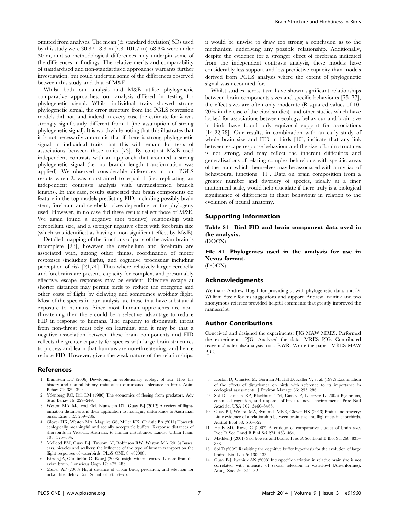omitted from analyses. The mean  $(\pm$  standard deviation) SDs used by this study were  $30.8 \pm 18.8$  m (7.8–101.7 m). 68.3% were under 30 m, and so methodological differences may underpin some of the differences in findings. The relative merits and comparability of standardised and non-standardised approaches warrants further investigation, but could underpin some of the differences observed between this study and that of M&E.

Whilst both our analysis and M&E utilise phylogenetic comparative approaches, our analysis differed in testing for phylogenetic signal. Whilst individual traits showed strong phylogenetic signal, the error structure from the PGLS regression models did not, and indeed in every case the estimate for  $\lambda$  was strongly significantly different from 1 (the assumption of strong phylogenetic signal). It is worthwhile noting that this illustrates that it is not necessarily automatic that if there is strong phylogenetic signal in individual traits that this will remain for tests of associations between those traits [73]. By contrast M&E used independent contrasts with an approach that assumed a strong phylogenetic signal (i.e. no branch length transformation was applied). We observed considerable differences in our PGLS results when  $\lambda$  was constrained to equal 1 (i.e. replicating an independent contrasts analysis with untransformed branch lengths). In this case, results suggested that brain components do feature in the top models predicting FID, including possibly brain stem, forebrain and cerebellar sizes depending on the phylogeny used. However, in no case did these results reflect those of M&E. We again found a negative (not positive) relationship with cerebellum size, and a stronger negative effect with forebrain size (which was identified as having a non-significant effect by M&E).

Detailed mapping of the functions of parts of the avian brain is incomplete [23], however the cerebellum and forebrain are associated with, among other things, coordination of motor responses (including flight), and cognitive processing including perception of risk [21,74]. Thus where relatively larger cerebella and forebrains are present, capacity for complex, and presumably effective, escape responses may be evident. Effective escape at shorter distances may permit birds to reduce the energetic and other costs of flight by delaying and sometimes avoiding flight. Most of the species in our analysis are those that have substantial exposure to humans. Since most human approaches are nonthreatening then there could be a selective advantage to reduce FID in response to humans. The capacity to distinguish threat from non-threat must rely on learning, and it may be that a negative association between these brain components and FID reflects the greater capacity for species with large brain structures to process and learn that humans are non-threatening, and hence reduce FID. However, given the weak nature of the relationships,

#### References

- 1. Blumstein DT (2006) Developing an evolutionary ecology of fear: How life history and natural history traits affect disturbance tolerance in birds. Anim Behav 71: 389–399.
- 2. Ydenberg RC, Dill LM (1986) The economics of fleeing from predators. Adv Stud Behav 16: 229–249.
- 3. Weston MA, McLeod EM, Blumstein DT, Guay P-J (2012) A review of flightinitiation distances and their application to managing disturbance to Australian birds. Emu 112: 269–286.
- 4. Glover HK, Weston MA, Maguire GS, Miller KK, Christie BA (2011) Towards ecologically meaningful and socially acceptable buffers: Response distances of shorebirds in Victoria, Australia, to human disturbance. Landsc Urban Plann 103: 326–334.
- 5. McLeod EM, Guay P-J, Taysom AJ, Robinson RW, Weston MA (2013) Buses, cars, bicycles and walkers; the influence of the type of human transport on the flight responses of waterbirds. PLoS ONE 8: e82008.
- 6. Kirsch JA, Güntürkün O, Rose J (2008) Insight without cortex: Lessons from the avian brain. Conscious Cogn 17: 475–483.
- 7. Møller AP (2008) Flight distance of urban birds, predation, and selection for urban life. Behav Ecol Sociobiol 63: 63–75.

it would be unwise to draw too strong a conclusion as to the mechanism underlying any possible relationship. Additionally, despite the evidence for a stronger effect of forebrain indicated from the independent contrasts analysis, these models have considerably less support and less predictive capacity than models derived from PGLS analysis where the extent of phylogenetic signal was accounted for.

Whilst studies across taxa have shown significant relationships between brain components sizes and specific behaviours [75–77], the effect sizes are often only moderate (R-squared values of 10- 20% in the case of the cited studies), and other studies which have looked for associations between ecology, behaviour and brain size in birds have found only equivocal support for associations [14,22,78]. Our results, in combination with an early study of whole brain size and FID in birds [10], indicate that any link between escape response behaviour and the size of brain structures is not strong, and may reflect the inherent difficulties and generalisations of relating complex behaviours with specific areas of the brain which themselves may be associated with a myriad of behavioural functions [11]. Data on brain composition from a greater number and diversity of species, ideally at a finer anatomical scale, would help elucidate if there truly is a biological significance of differences in flight behaviour in relation to the evolution of neural anatomy.

#### Supporting Information

Table S1 Bird FID and brain component data used in the analysis.

(DOCX)

File S1 Phylogenies used in the analysis for use in Nexus format.

(DOCX)

## Acknowledgments

We thank Andrew Hugall for providing us with phylogenetic data, and Dr William Steele for his suggestions and support. Andrew Iwaniuk and two anonymous referees provided helpful comments that greatly improved the manuscript.

#### Author Contributions

Conceived and designed the experiments: PJG MAW MRES. Performed the experiments: PJG. Analyzed the data: MRES PJG. Contributed reagents/materials/analysis tools: RWR. Wrote the paper: MRES MAW PIG.

- 8. Hockin D, Ounsted M, Gorman M, Hill D, Keller V, et al. (1992) Examination of the effects of disturbance on birds with reference to its importance in ecological assessments. J Environ Manage 36: 253–286.
- 9. Sol D, Duncan RP, Blackburn TM, Cassey P, Lefebvre L (2005) Big brains, enhanced cognition, and response of birds to novel environments. Proc Natl Acad Sci USA 102: 5460–5465.
- 10. Guay P-J, Weston MA, Symonds MRE, Glover HK (2013) Brains and bravery: Little evidence of a relationship between brain size and flightiness in shorebirds. Austral Ecol 38: 516–522.
- 11. Healy SD, Rowe C (2007) A critique of comparative studies of brain size. Proc R Soc Lond B Biol Sci 274: 453–464.
- 12. Madden J (2001) Sex, bowers and brains. Proc R Soc Lond B Biol Sci 268: 833– 838.
- 13. Sol D (2009) Revisiting the cognitive buffer hypothesis for the evolution of large brains. Biol Lett 5: 130–133.
- 14. Guay P-J, Iwaniuk AN (2008) Interspecific variation in relative brain size is not correlated with intensity of sexual selection in waterfowl (Anseriformes). Aust J Zool 56: 311–321.